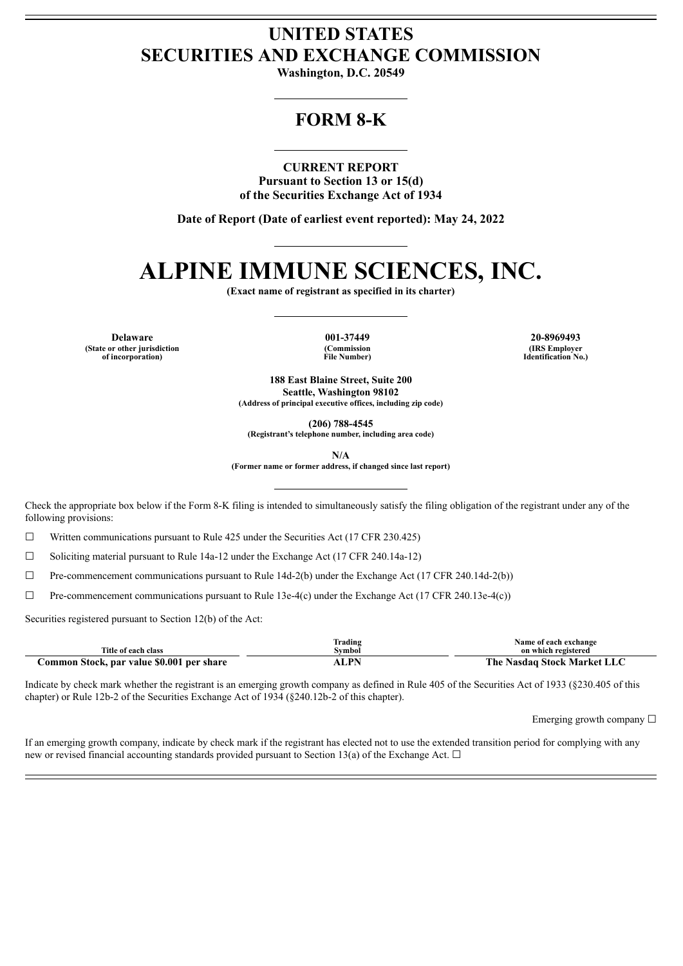# **UNITED STATES SECURITIES AND EXCHANGE COMMISSION**

**Washington, D.C. 20549**

# **FORM 8-K**

## **CURRENT REPORT**

**Pursuant to Section 13 or 15(d) of the Securities Exchange Act of 1934**

**Date of Report (Date of earliest event reported): May 24, 2022**

# **ALPINE IMMUNE SCIENCES, INC.**

**(Exact name of registrant as specified in its charter)**

**Delaware 001-37449 20-8969493 (State or other jurisdiction of incorporation)**

**(Commission File Number)**

**(IRS Employer Identification No.)**

**188 East Blaine Street, Suite 200 Seattle, Washington 98102 (Address of principal executive offices, including zip code)**

**(206) 788-4545**

**(Registrant's telephone number, including area code)**

**N/A**

**(Former name or former address, if changed since last report)**

Check the appropriate box below if the Form 8-K filing is intended to simultaneously satisfy the filing obligation of the registrant under any of the following provisions:

 $\Box$  Written communications pursuant to Rule 425 under the Securities Act (17 CFR 230.425)

 $\Box$  Soliciting material pursuant to Rule 14a-12 under the Exchange Act (17 CFR 240.14a-12)

 $\Box$  Pre-commencement communications pursuant to Rule 14d-2(b) under the Exchange Act (17 CFR 240.14d-2(b))

 $\Box$  Pre-commencement communications pursuant to Rule 13e-4(c) under the Exchange Act (17 CFR 240.13e-4(c))

Securities registered pursuant to Section 12(b) of the Act:

| Title of each class                       | Trading<br>svmbol | Name of each exchange<br>on which registered |
|-------------------------------------------|-------------------|----------------------------------------------|
| Common Stock, par value \$0.001 per share | I DN              | The Nasdag Stock Market LLC                  |

Indicate by check mark whether the registrant is an emerging growth company as defined in Rule 405 of the Securities Act of 1933 (§230.405 of this chapter) or Rule 12b-2 of the Securities Exchange Act of 1934 (§240.12b-2 of this chapter).

Emerging growth company  $\Box$ 

If an emerging growth company, indicate by check mark if the registrant has elected not to use the extended transition period for complying with any new or revised financial accounting standards provided pursuant to Section 13(a) of the Exchange Act.  $\Box$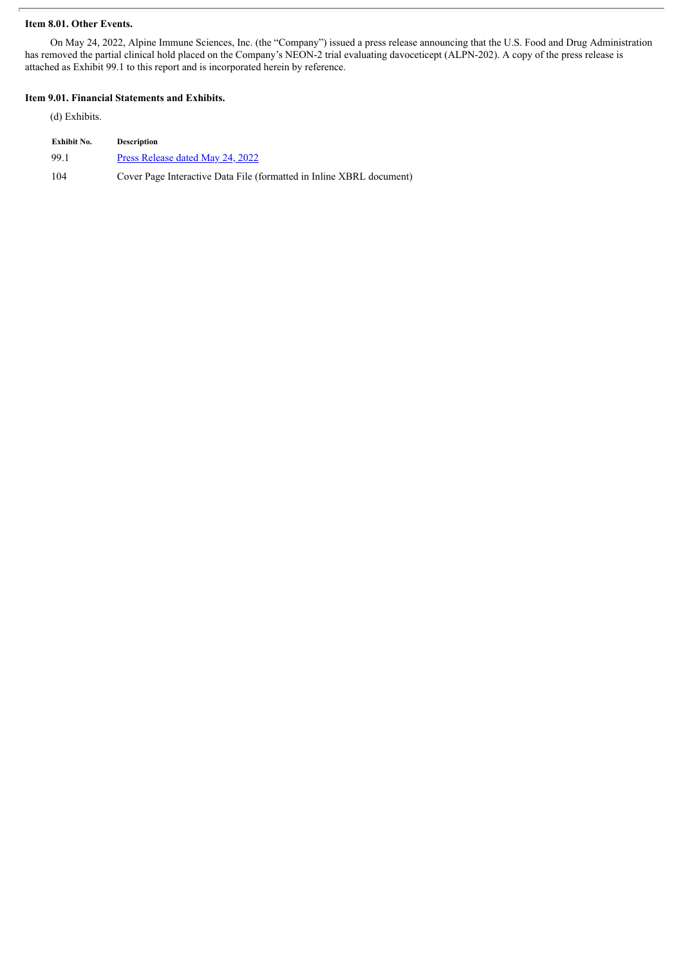# **Item 8.01. Other Events.**

On May 24, 2022, Alpine Immune Sciences, Inc. (the "Company") issued a press release announcing that the U.S. Food and Drug Administration has removed the partial clinical hold placed on the Company's NEON-2 trial evaluating davoceticept (ALPN-202). A copy of the press release is attached as Exhibit 99.1 to this report and is incorporated herein by reference.

## **Item 9.01. Financial Statements and Exhibits.**

(d) Exhibits.

| Exhibit No. | <b>Description</b>                                                   |
|-------------|----------------------------------------------------------------------|
| 99.1        | Press Release dated May 24, 2022                                     |
| 104         | Cover Page Interactive Data File (formatted in Inline XBRL document) |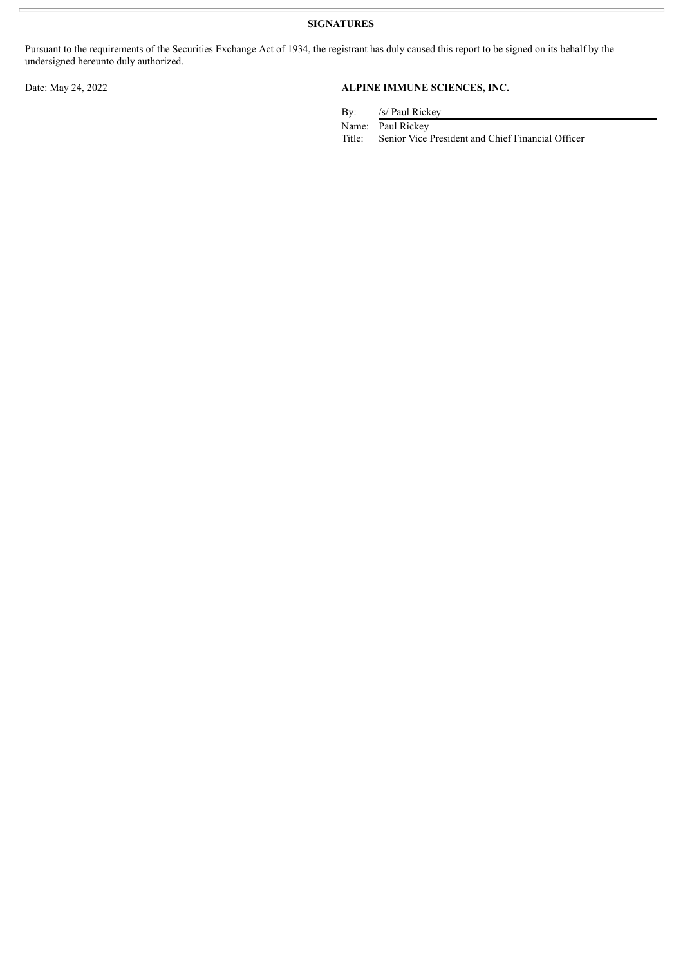**SIGNATURES**

Pursuant to the requirements of the Securities Exchange Act of 1934, the registrant has duly caused this report to be signed on its behalf by the undersigned hereunto duly authorized.

# Date: May 24, 2022 **ALPINE IMMUNE SCIENCES, INC.**

By: /s/ Paul Rickey

Name: Paul Rickey<br>Title: Senior Vice

Senior Vice President and Chief Financial Officer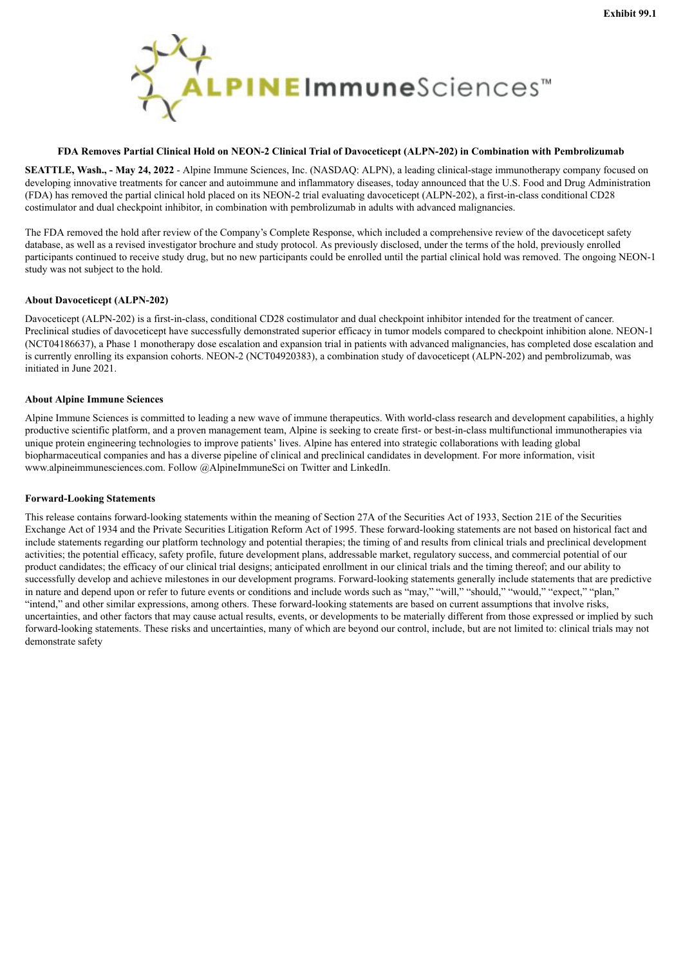<span id="page-3-0"></span>

### FDA Removes Partial Clinical Hold on NEON-2 Clinical Trial of Davoceticent (ALPN-202) in Combination with Pembrolizumab

**SEATTLE, Wash., - May 24, 2022** - Alpine Immune Sciences, Inc. (NASDAQ: ALPN), a leading clinical-stage immunotherapy company focused on developing innovative treatments for cancer and autoimmune and inflammatory diseases, today announced that the U.S. Food and Drug Administration (FDA) has removed the partial clinical hold placed on its NEON-2 trial evaluating davoceticept (ALPN-202), a first-in-class conditional CD28 costimulator and dual checkpoint inhibitor, in combination with pembrolizumab in adults with advanced malignancies.

The FDA removed the hold after review of the Company's Complete Response, which included a comprehensive review of the davoceticept safety database, as well as a revised investigator brochure and study protocol. As previously disclosed, under the terms of the hold, previously enrolled participants continued to receive study drug, but no new participants could be enrolled until the partial clinical hold was removed. The ongoing NEON-1 study was not subject to the hold.

#### **About Davoceticept (ALPN-202)**

Davoceticept (ALPN-202) is a first-in-class, conditional CD28 costimulator and dual checkpoint inhibitor intended for the treatment of cancer. Preclinical studies of davoceticept have successfully demonstrated superior efficacy in tumor models compared to checkpoint inhibition alone. NEON-1 (NCT04186637), a Phase 1 monotherapy dose escalation and expansion trial in patients with advanced malignancies, has completed dose escalation and is currently enrolling its expansion cohorts. NEON-2 (NCT04920383), a combination study of davoceticept (ALPN-202) and pembrolizumab, was initiated in June 2021.

### **About Alpine Immune Sciences**

Alpine Immune Sciences is committed to leading a new wave of immune therapeutics. With world-class research and development capabilities, a highly productive scientific platform, and a proven management team, Alpine is seeking to create first- or best-in-class multifunctional immunotherapies via unique protein engineering technologies to improve patients' lives. Alpine has entered into strategic collaborations with leading global biopharmaceutical companies and has a diverse pipeline of clinical and preclinical candidates in development. For more information, visit www.alpineimmunesciences.com. Follow @AlpineImmuneSci on Twitter and LinkedIn.

#### **Forward-Looking Statements**

This release contains forward-looking statements within the meaning of Section 27A of the Securities Act of 1933, Section 21E of the Securities Exchange Act of 1934 and the Private Securities Litigation Reform Act of 1995. These forward-looking statements are not based on historical fact and include statements regarding our platform technology and potential therapies; the timing of and results from clinical trials and preclinical development activities; the potential efficacy, safety profile, future development plans, addressable market, regulatory success, and commercial potential of our product candidates; the efficacy of our clinical trial designs; anticipated enrollment in our clinical trials and the timing thereof; and our ability to successfully develop and achieve milestones in our development programs. Forward-looking statements generally include statements that are predictive in nature and depend upon or refer to future events or conditions and include words such as "may," "will," "should," "would," "expect," "plan," "intend," and other similar expressions, among others. These forward-looking statements are based on current assumptions that involve risks, uncertainties, and other factors that may cause actual results, events, or developments to be materially different from those expressed or implied by such forward-looking statements. These risks and uncertainties, many of which are beyond our control, include, but are not limited to: clinical trials may not demonstrate safety